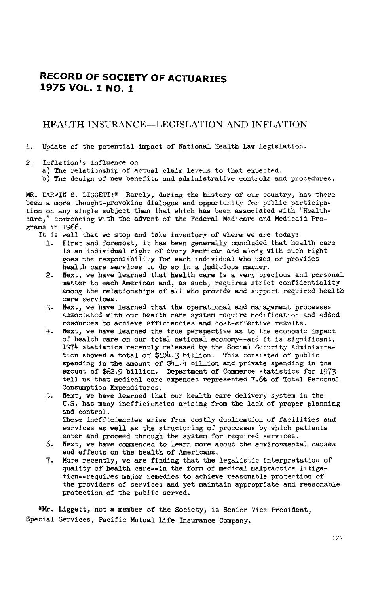# **RECORD OF** SO**CIET**Y **OF A**C**TU**A**R**I**E**S **1975 VOL**, **1 NO. 1**

## HEALTH INSURANCE--LEGISLATION AND INFLATION

- i. Update of the potential impact of National Health La**w** legislation.
- 2. Inflation's influence on
	- a) The relationship of actual claim levels to that expected.
	- b) The design of new benefits and administrative controls and procedures.

MR. DARWIN S. LIGGETT:\* Rarely, during the history of our country, has there been a more thought-provoking dialogue and opportunity for public participation on any single subject than that which has been associated with "Healthcare," commencing with the advent of the Federal Medicare and Medicaid Programs in 1966.

- It is well that we stop and take inventory of where we are today:
	- 1. First and foremost, it has been generally concluded that health care is an individual right of every American and along with such right goes the responsibility for each individual who uses or provides health care services to do so in a judicious manner.
	- 2. Next, we have learned that health care is a very precious and personal matter to each American and, as such, requires strict confidentiality among the relationships of all who provide and support required health care services.
	- 3. Next, we have learned that the operational and management processes associated with our health care system require modification and added resources to achieve efficiencies and cost-effective results.
	- 4. Next, we have learned the true perspective as to the economic impact **o**f he**al**th care on our total national economy--and it is significant. 1974 statistics re**c**ently released by the **S**ocial Security Administration showed a total of **\$**104**.**3 billi**o**n. This consisted of public **s**pending in the amount of **\$**41.4 billi**o**n and private spending in the **a**mount of \$62**.**9 billion. Department of Commerce st**a**tistics for 1973 tell us that medical care expenses represented 7.69 of Total Personal Consumption Expenditures.
	- 5. Next, we h**a**ve learned that our health care delivery system in the U**.**S. has m**a**ny inefficiencies **a**rising from the l**a**ck of proper planning and control. These inefficiencies arise from c**o**stly duplication of facilities and services as well as the structuring of processes by which patients enter and proceed through the system for required services.
	- 6. Next, we have commenced to learn m**o**re about the environmenta**l** causes and effects **o**n the health **o**f Americans.
	- 7. More recently, we a**r**e finding that the legalistic interpretation of qu**a**lity of he**a**lth **ca**re--in the form of medical ma**l**practice litigation--requires major remedies to achieve reason**a**ble **p**rotecti**o**n of the providers of services and yet maintain appr**o**priate and reasonable protection of the public served.

\*Mr. Liggett, not a member **o**f the S**o**ciety, is Senior Vice Presi**d**ent, Special Services, Pacific Mutu**a**l Life Insurance Company.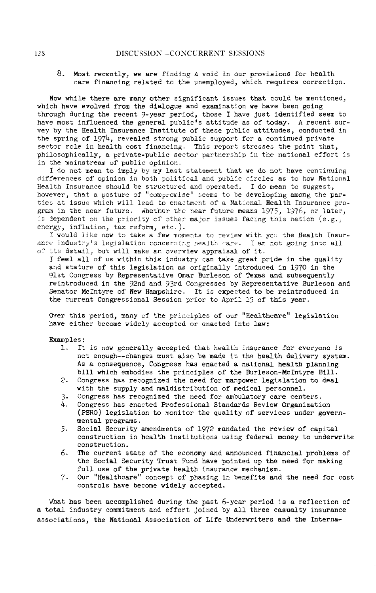### 8. Most recently, we are finding a void in our provisions for health care financing related to the unemployed, which requires correction.

Now while there are many other significant issues that could be mentioned, which have evolved from the dialogue and examination we have been going through during the recent 9-year period, those I have just identified seem to have most influenced the general public's attitude as of today. A recent survey by the Health Insurance Institute of these public attitudes, conducted in the spring of 197h, revealed strong public support for a continued private sector role in health cost financing. This report stresses the point that, philosophically, a private-public sector partnership in the national effort is in the mainstream of public opinion.

I do not mean to imply by my last statement that we do not have continuing differences of opinion in both political and public circles as to how National Health Insurance should be structured and operated. I do mean to suggest, however, that a posture of "compromise" seems to be developing among the parties at issue which will lead to enactment of a National Health Insurance program in the near future. Whether the near future means 1975, 1976, or later, is dependent on the priority of other major issues facing this nation (e.g., energy, inflation, tax reform, etc.).

I would like now to take a few moments to review vith you the Health Insurance industry's legislation concerning health care. I am not going into all of its detail, but will make an overview appraisal of it.

I feel all of us within this industry can take great pride in the quality and stature of this legislation as originally introduced in 1970 in the 91st Congress by Representative Omar Burleson of Texas and subsequently reintroduced in the 92nd and 93rd Congresses by Representative Burleson and Senator McIntyre of New Hampshire. It is expected to be reintroduced in the current Congressional Session prior to April 15 of this year.

Over this period, many of the principles of our "Healthcare" legislation have either become widely accepted or enacted into law:

Examples:

- I. It is now generally accepted that health insurance for everyone is not enough--changes must also be made in the health delivery system. As a consequence, Congress has enacted a national health planning bill which embodies the principles of the Burleson-McIntyre Bill.
- 2. Congress has recognized the need for manpower legislation to deal with the supply and maldistrlbution of medical personnel.
- 3. Congress has recognized the need for ambulatory care centers.<br>4. Congress has enacted Professional Standards Review Organizati
- 4. Congress has enacted Professional Standards Review Organization (PSRO) legislation to monitor the quality of services under governmental programs.
- 5. Social Security amendments of 1972 mandated the review of capital construction in health institutions using federal money to underwrite construction.
- 6. The current state of the economy and announced financial problems of the Social Security Trust Fund have pointed up the need for making full use of the private health insurance mechanism.
- 7. Our "Healthcare" concept of phasing in benefits and the need for cost controls have become widely accepted.

What has been accomplished during the past 6-year period is a reflection of a total industry commitment and effort joined by all three casualty insurance associations, the National Association of Life Underwriters and the Interns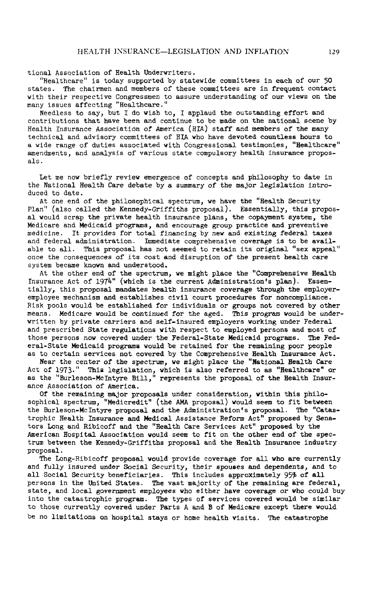tional Association of Health Underwriters.

"Healthcare" is today supported by statewide committees in e**a**ch of our 50 states. The chairmen and members of these committees **a**re in frequent contact with their respective Congressmen to assure understanding of our views on the many issues affecting "Healthcare."

Needless to say, but I do wish to, I applaud the outstanding effort and contributions that have been and continue to be made on the national scene by Health Insurance Association of America (HIA) staff and members of the many technical and advisory committees of BIAwho have devoted countless hours to a wide range of duties associated with Congressional testimonies, "Healthc**a**re" amendments, and analysis of various state compulsory health insurance proposals.

Let me now briefly review emergence of concepts and philosophy to date in the National Health Care debate by a summary of the major legislation introduced to date.

At one end of the philosophical spectrum, we have the "Health Security Plan" (also called the Kennedy-Griffiths proposal). Essentially, this proposal would scr**a**p the private he**a**lth insurance pl**a**ns, the copayment system, the Medicare and Medicaid programs, and encourage group practice and preventive medicine. It provides for total financing by new and existing federal taxes and federal administration. Immediate comprehensive coverage is to be av**a**ilable to all. This proposal has not seemed to retain its original "sex appeal" once the consequences of its cost and disruption of the present health care system became known and understood.

At the other end of the spectrum, we might place the "Comprehensive Health Insurance Act of 1974" (which is the current Administration's plan). Essentially, this proposal mand**a**tes he**a**lth ins**u**rance cover**a**ge through the employeremployee mechanism and establishes civil court procedures for noncompliance. Risk pools would be established for individuals or groups not covered by other means. Medicare would be continued for the aged. **T**his program would be underwritten by private carriers and self-lnsured employers working under Federal and prescribed State regulations with respect to employed persons and most of those persons now covered under the Federal-State Medicaid programs. The Feder**a**l-State Medicaid programs would be retained for the remaining poor people as to certain services not covered by the Comprehensive Health Insur**an**ce Act.

Near the center of the spectrum, we might place the "National Health C**a**re Act of 1973." This legislation, which is also referred to as "He**a**lthcare" or as the "Burleson-McIntyre Bill," represents the proposal of the Health Insurance Association of America.

Of the remaining m**a**jor propos**a**ls under consideration, within this philosophical spectrum, "Medicredlt" (the AMA proposal) would seem to fit between the Burleson-McIntyre proposal **a**nd the Administration's proposal. The "C**a**tastrophic Health Insurance and Medical Assistance Eeform Act" proposed by Senators Long and Riblcoff and the "Health Care Services Act" proposed by the American Hospit**a**l Associ**a**tion would seem to fit on the other end of the spectrum between the Kennedy-Grifflths proposal and the He**a**lth Insur**a**nce industry proposal.

The Long-Ribicoff proposal would provide coverage for all who **a**re currently and fully insured under Social Security, t**h**eir spou**s**es an**d** depen**d**ent**s**, and to all Social Security beneficiaries. This includes approximately 95% of all persons in the United States. The vast majority of the remaining are federal, state, and lo**ca**l government emp**l**oyees who either have **c**over**a**ge or wh**o** cou**ld** buy into the c**a**t**a**strophi**c** progr**a**m. The ty**p**es of services **c**overed **w**ould be simil**a**r to those currently covered under **Pa**rts A **a**nd B of Medic**a**re ex**c**ept there **w**ould be no limit**a**tions on hospit**a**l st**a**ys or home he**a**lth visits. The **ca**ta**s**trophe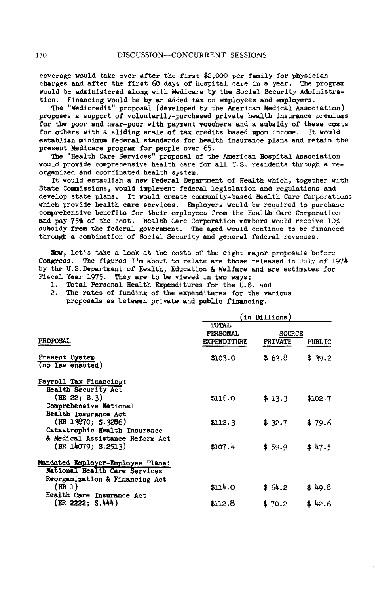cover**a**ge woul**d** take ove**r** afte**r** t**h**e first \$2,000 per family f**o**r p**h**ysician charges and after the first 60 day**s** of hospital care in **a** year. The program would be administered along with Medicare by the Social Security Administration. Financing would be by an added tax on employees and employers.

The "Medicredit" proposal (developed by the American Medical Association) proposes a support of voluntarily-purchased private health insurance premiums for the poor and near-poor with payment vouchers and a subsidy of these costs for others with a sliding scale of tax credits based upon income. It would establish minimum federal standards for health insurance plans and retain the present Medicare program for people over 65.

The "Health Care Services" proposal of the American Hospital Association would provide comprehensive health care for all U.S. residents through a reorganized an**d** coordinated health system.

It would establish a new Federal Department of Health which, together with State Commissions, would implement federal legislation and regulations and develop state plans. It would create community-based Health Care Corporations which provide health care services. Employers would be required to purchase comprehensive benefits for their employees from the Health Care Corporation and pay 759 of the cost. Health Care Corporation members would receive 10% subsidy from the federal government. The aged would continue to be financed through a combination of Social Security and general federal revenues.

Now, let's take a look at the costs of the eight major proposals before Congress. The figures I'm about to relate are those released in July of 197h by the U.S.Department of Health, Education & Welfare and are estimates for Fiscal Year 1975. They are to be viewed in two ways:

1. Total Personal Health Expenditures for the U.S. and

2. The rates of funding of the expenditures for the various proposals as between private and public financing.

|                                                                             | 'in Billions)                                  |                                           |         |  |
|-----------------------------------------------------------------------------|------------------------------------------------|-------------------------------------------|---------|--|
| <b>PROPOSAL</b>                                                             | <b>TOTAL</b><br>PERSONAL<br><b>EXPENDITURE</b> | <b>SOURCE</b><br>PRIVATE<br><b>PUBLIC</b> |         |  |
| Present System<br>(no law enacted)                                          | \$103.0                                        | \$63.8                                    | \$39.2  |  |
| Payroll Tax Financing:                                                      |                                                |                                           |         |  |
| Health Security Act<br>(HR 22; S.3)<br>Comprehensive National               | \$116.0                                        | \$13.3                                    | \$102.7 |  |
| Health Insurance Act<br>(HR 13870; S.3286)<br>Catastrophic Health Insurance | \$112.3                                        | \$32.7                                    | \$79.6  |  |
| & Medical Assistance Reform Act<br>(BR 14079; S.2513)                       | \$107.4                                        | \$59.9                                    | \$47.5  |  |
| Mandated Employer-Employee Plans:                                           |                                                |                                           |         |  |
| <b>National Health Care Services</b>                                        |                                                |                                           |         |  |
| Reorganization & Financing Act<br>(ER 1)<br>Health Care Insurance Act       | \$114.0                                        | \$64.2                                    | \$49.8  |  |
| (ER 2222: S.444)                                                            | \$112.8                                        | \$70.2                                    | \$42.6  |  |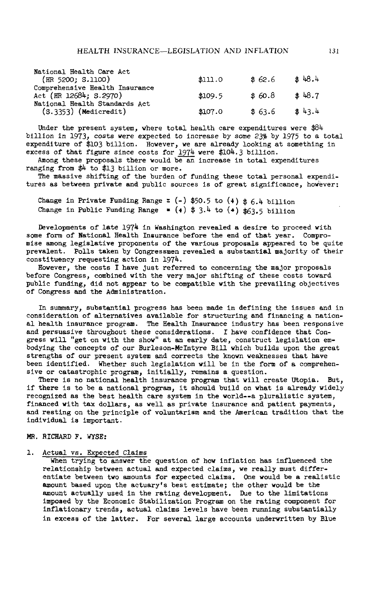| National Health Care Act<br>(HR 5200; S.1100)               | \$11.0  | \$62.6 | 3.48.4 |
|-------------------------------------------------------------|---------|--------|--------|
| Comprehensive Health Insurance<br>Act (HR $12684$ ; S.2970) | \$109.5 | \$60.8 | \$48.7 |
| National Health Standards Act<br>$(S.3353)$ (Medicredit)    | \$107.0 | \$63.6 | \$43.4 |

Under the present system, where total health care expenditures were \$84 billion in 1973, costs were expected to increase by some 23% by 1975 to a total expenditure of \$103 billion. However, we are already looking at something in excess of that figure since costs for 1974 were \$104.3 billion.

Among these proposals there would be an increase in total expenditures ranging from \$4 to \$13 billion or more.

The massive shifting of the burden of funding these total personal expenditures as between private and public sources is of great significance, however:

Change in Private Funding Range =  $(-)$  \$50.5 to  $(4)$  \$6.4 billion Change in Public Funding Range  $*$  (+)  $*$  3.4 to (+)  $*$ 63.5 billion

Developments of late 1974 in Washington revealed a desire to proceed with some form of National Health Insurance before the end of that year. Compromise among legislative proponents of the various proposals appeared to be quite prevalent. Polls taken by Congressmen revealed a substantial majority of their constituency requesting action in 1974.

However, the costs I have just referred to concerning the major proposals before Congress, combined with the very major shifting of these costs toward public funding, did not appear to be compatible with the prevailing objectives of Congress and the Administration.

In summary, substantial progress has been made in defining the issues and in consideration of alternatives available for structuring and financing a national health insurance program. The Health Insurance industry has been responsive and persuasive throughout these considerations. I have confidence that Congress will "get on with the show" at an early date, construct legislation embodying the concepts of our Burleson-McIntyre Bill which builds upon the great strengths of our present system and corrects the known weaknesses that have been identified. Whether such legislation will be in the form of a comprehensive or catastrophic program, initially, remains a question.

There is no national health insurance program that will create Utopia. But, if there is to be a national program, it should build on what is already widely recognized as the best health care system in the world--a pluralistic system, financed with tax dollars, as well as private insurance and patient payments, and resting on the principle of voluntarism and the American tradition that the individual is important.

#### MR. RICHARD F. WYSE:

#### 1. Actual vs. Expected Claims

When trying to answer the question of how inflation has influenced the relationship between actual and expected claims, we really must differentiate between two amounts for expected claims. One would be a realistic amount based upon the actuary's best estimate; the other would be the amount actually used in the rating development. Due to the limitations imposed by the Economic Stabilization Program on the rating component for inflationary trends, actual claims levels have been running substantially in excess of the latter. For several large accounts underwritten by Blue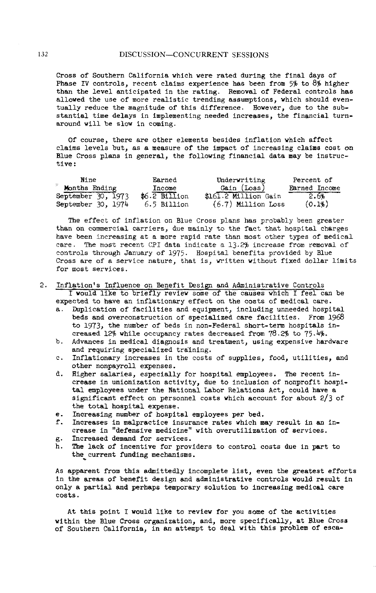Cross of Southern California which were rated during the final days of Phase IV controls, recent claims experience has been from  $5\frac{2}{3}$  to 8% higher than the level anticipated in the rating. Removal of Federal controls has allowed the use of more realistic trending assumptions, which should eventually reduce the magnitude of this difference. However, due to the substantial time delays in implementing needed increases, the financial turnaround will be slow in coming.

Of course, there are other elements besides inflation which affect cl**a**ims levels but, as a me**a**sure **o**f the imp**a**ct **o**f in**c**re**a**sing **cla**ims **cost** on Blue **C**ross pl**a**ns in general, the following fin**a**ncial d**a**t**a** m**a**y be instructive:

| Nine               | Earned         | Underwriting         | Percent of    |
|--------------------|----------------|----------------------|---------------|
| Months Ending      | Income         | Gain (Loss)          | Earned Income |
| September 30, 1973 | $$6.2$ Billion | \$161.2 Million Gain | 2.6%          |
| September 30, 1974 | 6.5 Billion    | $(6.7)$ Million Loss | (0.1%         |

The effect of inflation on Blue Cross plans has probably been greater than on commercial carriers, due mainly to the fact that hospital charges have been increasing at a more rapid rate than most other types of medical care. The most recent CPI data indicate a 13.2% increase from removal of controls through January of 1975. Hospital benefits provided by Blue Cross are of a service nature, that is, written without fixed dollar limits for most services.

2. Inflation's Influence on Benefit Design and Administrative Controls I would llke to briefly review some of the causes which I feel can be

expected to have an inflationary effect on the costs of medical care.

- a. Duplication of facilities and equipment, including unneeded hospital beds and overconstruction of specialized care facilities. From 1968 to 1973, the number of beds in non-Federal short-term hospitals increased 12% while occupancy rates decreased from  $78.2\%$  to  $75.4\%$ .
- b. Advances in medical diagnosis and treatment, using expensive hardware and requiring specialized training.
- c. Inflationary increases in the costs of supplies, food, utilities, and other nonpayroll expenses.
- d. Higher salaries, especially for hospital employees. The recent increase in unionization activity, due to inclusion of nonprofit hospital employees under the National Labo**r** Relations Act, could h**a**ve a significant effect on personnel costs which account for about 2/3 of the total hospital expense.
- e. Increasing number of hospital employees per bed.
- f. Increases in malpractice insurance rates which may result in an increase in "defensive medicine" with overutilizatlon of services.
- g. Increased demand for services.
- h. The lack of incentive for providers to control costs due in p**ar**t to the current funding mechanisms.

As apparent from this admittedly incomplete list, even the greatest efforts in the areas of benefit design and administrative controls would result in only a partial and perhaps temporary solution to incre**a**sing medical care **c**osts.

At this point I would like to review for you some of the activities w**i**thin the Blue Cross organization, and, more specifically, **a**t Blue Cross of Southern California, in an attempt to deal with this problem of esc**a**-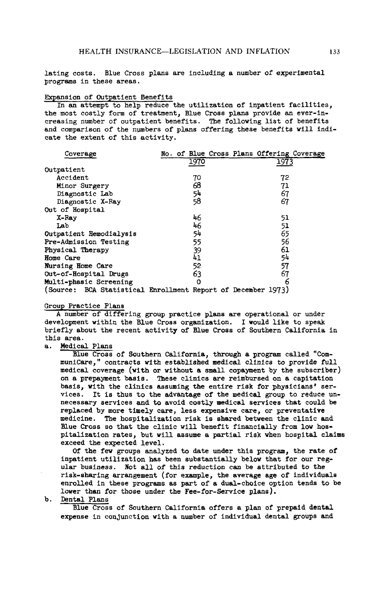lating costs. Blue Cross plans are including a number of experimental programs in these areas.

### Expansion of Outpatient Benefits

In an attempt to help reduce the utilization of inpatient facilities, the most costly form of treatment, Blue Cross plans provide an ever-increasing number of outpatient benefits. The following list of benefits and comparison of the numbers of plans offering these benefits will indicate the extent of this activity.

| Coverage                                                     |    | No. of Blue Cross Plans Offering Coverage |      |  |
|--------------------------------------------------------------|----|-------------------------------------------|------|--|
|                                                              |    | 1970                                      | 1973 |  |
| Outpatient                                                   |    |                                           |      |  |
| Accident                                                     |    | 70                                        | 72   |  |
| Minor Surgery                                                |    | 68                                        | 71   |  |
| Diagnostic Lab                                               |    | 54                                        | 67   |  |
| Diagnostic X-Ray                                             | 58 |                                           | 67   |  |
| Out of Hospital                                              |    |                                           |      |  |
| X-Ray                                                        |    | 46                                        | 51   |  |
| Lab                                                          |    | 46                                        | 51   |  |
| Outpatient Remodialysis                                      |    | 54                                        | 65   |  |
| Pre-Admission Testing                                        |    | 55                                        | 56   |  |
| Physical Therapy                                             |    | 39                                        | 61   |  |
| <b>Home Care</b>                                             |    | 41                                        | 54   |  |
| Nursing Home Care                                            |    | 52                                        | 57   |  |
| Out-of-Hospital Drugs                                        |    | 63                                        | 67   |  |
| Multi-phasic Screening                                       |    | Ω                                         | 6    |  |
| (Source: BCA Statistical Enrollment Report of December 1973) |    |                                           |      |  |

#### Group Practice Plans

A number of differing group practice plans are operational or under development within the Blue Cross organization. I would like to speak briefly about the recent activity of Blue Cross of Southern California in this area.

#### Medical Plans  $\mathbf{a}$ .

Blue Cross of Southern California, through a program called "CommuniCare," contracts with established medical clinics to provide full medical coverage (with or without a small copayment by the subscriber) on a prepayment basis. These clinics are reimbursed on a capitation basis, with the clinics assuming the entire risk for physicians' services. It is thus to the advantage of the medical group to reduce unnecessary services and to avoid costly medical services that could be replaced by more timely care, less expensive care, or preventative medicine. The hospitalization risk is shared between the clinic and Blue Cross so that the clinic will benefit financially from low hospitalization rates, but will assume a partial risk when hospital claims exceed the expected level.

Of the few groups analyzed to date under this program, the rate of inpatient utilization has been substantially below that for our regular business. Not all of this reduction can be attributed to the risk-sharing arrangement (for example, the average age of individuals enrolled in these programs as part of a dual-choice option tends to be lower than for those under the Fee-for-Service plans).

#### $\mathbf{b}$ . Dental Plans

Blue Cross of Southern California offers a plan of prepaid dental expense in conjunction with a number of individual dental groups and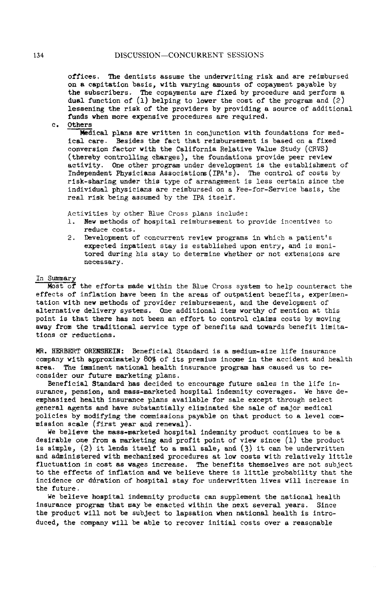offices**.** The d**e**ntists assume the under**w**riting risk and are r**e**imbursed **o**n a capitation basis, with varying amounts of copayment payable by the subscribers**.** The copayments are fixed by proced**u**re and perform a dual function of (1) helping to low**e**r the cost of the program and (2) leseenlng the risk of the pr**o**viders by providing a source of additional f**u**nds when mor**e** expensive pr**o**cedures are required.

c. Others

M**e**dical plans are **w**ritten in conjunction with foundations for med-Ical car**e.** Besides the fact that reimbursement is based on a fixed conversion fact**o**r with the California Relative Valu**e** Study (CRVS) (thereby controlling charges), the foundations provide peer r**e**view activity**. O**ne other program under developm**e**nt is the establishment of Independent Physicians Associatio**n**s(IPA's). The **c**ontrol of costs by risk-sharlng under this t**y**pe of arrangement is less certain since the individual physicians are reimb**u**rsed on a Fee**-**for-Service basis, the real risk being assumed by the IPA itself**.**

Activities by other Blue Cross plans include:<br>1. New methods of hospital reimbursement to

- New methods of hospital reimbursement to provide incentives to reduce costs**.**
- 2. Development of concurrent review programs in which a pati**e**nt's ex**p**ect**e**d inpatient stay is established upon **e**ntry, and is **m**onit**o**red during his stay to determine whether or not extensions are necessary.

#### In Summary

M**o**st of the efforts mad**e** within the Blue Cross system to help co**u**nteract the effects of inflati**o**n have been in the areas of out**p**atient benefits, experimentation with new m**e**thods **o**f pr**o**vider reimbursement, and the development of alternative delivery systems**. O**ne additi**o**nal item worthy of mention at this p**o**int is that th**e**re has not be**e**n an eff**o**rt to control claims costs by m**o**vin**g** away from the traditional service type **o**f benefits and towards benefit limitations or reducti**o**ns.

**M**R. **H**ERBERT ORENS**H**EIN: Beneficial Standard is a medl**u**m-slze life ins**u**rance company wlth approximately 805 of its premi**u**m inc**o**me in the accide**n**t and h**e**alth area. The imminent national health insurance pr**o**gram has caused us t**o** reconsider our future m**a**rketing plans.

Beneficial Standard has decided to encourage future sales in the life insurance, pensi**o**n, and mass-marketed hospital indemnity coverages. We have deemphasized health insur**a**nce plans available for sale except through select general agents and have substantially eliminated the sale of major medical policies by modifying the commissions pay**a**ble on that product to a level commi**s**sion **s**ca**l**e (first ye**a**r and rene**w**al).

W**e** believe the mas**s**-marketed hospital indemnity product continues to be a desir**a**ble one from a marketing and profit p**o**int of vie**w** since (1) the product is simple,  $(2)$  it lends itself to a mail sale, and  $(3)$  it can be underwritten and administered with mechanized procedures at low costs with relatively little fluctuation in cost as wages increase. The benefits themselves are not subject to the effects of inflation and we believe there is little probability that the incidence or duration of hospital stay for underwritten lives will increase in the future.

We believe hospital indemnity products can supplement the national health insurance program that may be enacted within the next several years. Since the product will not be subject to lapsation when national health is introduced, the company will be able to recover initial costs over a reasonable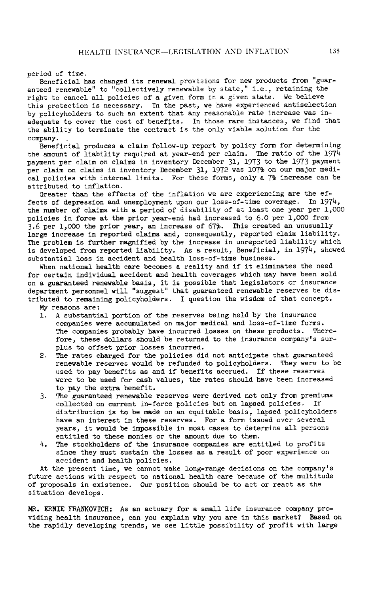### period of time.

Beneficial has changed its renewal provisions for new products from "guaranteed renewable" to "collectively renewable by state," i.e., retaining the right to cancel all policies of a given form in a given state. We believe this protection is necessary. In the past, we have experienced antiselection by policyholders to such an extent that any reasonable rate increase was inadequate to cover the cost of beneflts. In those rare instances, we find that the ability to terminate the contract is the only viable solution for the company.

Beneficial produces a claim follow-up report by policy form for determining the amount of liability required at year-end per claim. The ratio of the  $197\frac{1}{4}$ payment per claim on claims in inventory December 31, 1973 to the 1973 payment per claim on claims in inventory December 31, 1972 was 107% on our major medical policies with internal limits. For these forms, only a 7% increase can be attributed to inflation.

Greater than the effects of the inflation we are experiencing are the effects of depression and unemployment upon our loss-of-time coverage. In  $1974$ , the number of claims with a period of disability of at least one year per 1,OO0 policies in force at the prior year-end had increased to 6.0 per 1,O00 from 3.6 per 1,000 the prior year, an increase of  $67\%$ . This created an unusually large increase in reported claims and, consequently, reported claim liability. The problem is further magnified by the increase in unreported liability which is developed from reported liability. As a result, Beneficial, in 1974, showed substantial loss in accident and health loss-of-time business.

When national health care becomes a reality and if it eliminates the need for certain individual accident and health coverages which may have been sold on a guaranteed renewable basis, it is possible that legislators or insurance department personnel will "suggest" that guaranteed renewable reserves be distributed to remaining policyholders. I question the wisdom of that concept.

My reasons are:

- 1. A substantial portion of the reserves being held by the insurance companies were accumulated on major medical and loss-of-time forms. The companies probably have incurred losses on these products. Therefore, these dollars should be returned to the insurance company's surplus to offset prior losses incurred.
- 2. The rates charged for the policies did not anticipate that guaranteed renewable reserves would be refunded to policyholders. They were to be used to pay benefits as and if benefits accrued. If these reserves were to be used for cash values, the rates should have been increased to pay the extra benefit.
- 3. The guaranteed renewable reserves were derived not only from premiums collected on current in-force policies but on lapsed policies. If distribution is to be made on an equitable basis, lapsed policyholders have an interest in these reserves. For a form issued over several years, it would be impossible in most cases to determine all persons entitled to these monies or the amount due to them.
- 4. The stockholders of the insurance companies are entitled to profits since they must sustain the losses as a result of poor experience on accident and health policies.

At the present time, we cannot make long-range decisions on the company's future actions with respect to national health care because of the multitude of proposals in existence. Our position should be to act or react as the situation develops.

MR. ERNIE FRANKOVICH: As an actuary for a small life insurance company providing health insurance, can you explain why you are in this market? Based on the rapidly developing trends, we see little possibility of profit with large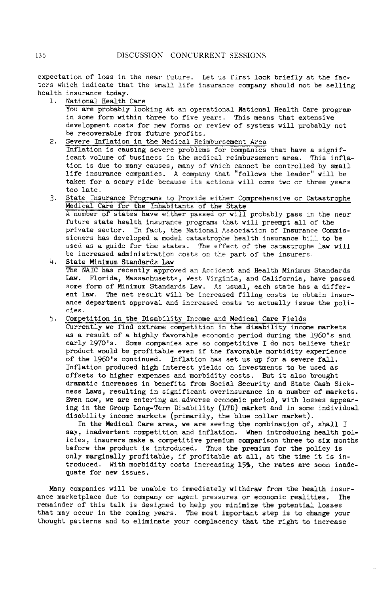expectation of loss in the near future. Let us first look briefly at the factors which indicate that the small life insurance company should not be selling health insurance today.<br>1. National Health

National Health Care

You are probably looking at an operational National Health Care program in some form within three to five years. This means that extensive development costs for new forms or review of systems will probably not be recoverable from future profits.

2. Severe Inflation in the Medical Reimbursement Area

Inflation is causlng severe problems for companies that have a significant volume of business in the medical reimbursement area. This inflation is due to many causes, many of which cannot be controlled by small life insurance companies**.** A company that "follows the leader" will be taken for a scary ride because its actions will come two or three years too late.

3. State Insurance Programs to Provide either Comprehensive or Catastrophe Medical Care for the Inhabitants of the State A number of states have either passed or will probably pass in the near future state health insurance programs that will preempt all of the private sector. In fact, the National Association of Insurance Commissioners has developed a model catastrophe health insurance bill to be used as a guide for the states. The effect of the catastrophe law will be increased administration costs on the part of the insurers.

4. State Minimum Standards Law The NAIC has recently approved an Accident and Health Minimum Standards Law. Florida, Massachusetts, West Virginia, and California, have passed some form of Minimum Standards Law. As usual, each state has a different law. The net result will be increased filing costs to obtain insurance department approval and increased costs to actually issue the policies.

5. Competition in the Disability Income and Medical Care Fields Currently we find extreme competition in the disability income markets as a result of a highly favorable economic period during the 1960's and early 1970's**.** Some companies are so competitive I do not believe their product would be profitable even if the favorable morbidity experience of the 1960's continued**.** Inflation has set u**s** up for a severe fall**.** Inflation produced high interest yields on investments to be used as off**s**ets to higher expenses and morbidity costs. But it also brought dramatic increases in benefits from Social Security and State Cash Sickness Laws, resulting in significant overinsurance in a number of markets. Even now, we are entering an adverse economic period, with losses appearing in the Group Long-Term Disability (LTD) market and in some individual disability income markets (primarily, the blue collar market).

In the Medical Care area, we are seeing the combination of, shall I say, inadvertent competition and inflation. When introducing health policies, insurers make a competitive premium comparison three to six months before the product is introduced. Thus the premium for the policy is only marginally profitable, if profitable at all, at the time it is introduced. With morbidity costs increasing 15%, the rates are soon inadequate for new issues.

Many companies will be unable to immediately withdraw from the health insurance marketplace due to company or agent pressures or economic realities. The remainder of this talk is designed to help you minimize the potential losses that may occur in the coming years. The most important step is to change your thought patterns and to eliminate your complacency that the right to increase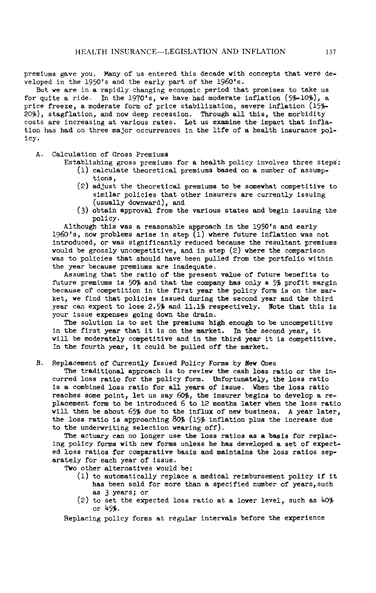premiums gave you. M**a**ny of us entered this decade with concepts that were developed in the 1950's and the early part of the 1960's.

But we are in a rapidly changing economic period that promises to take us for quite a ride. In the 1970's, we have had moderate inflation  $(5%-10%)$ , a price freeze, a moderate form of price stabilization, severe inflation  $(15%-10)$ price freeze, a moderate form of price stabilization, severe inflation (15<sub>7</sub>-<br>20%), stagflation, and now deep recession. Through all this, the morbidity costs are increasing at various rates. Let us examine the impact that inflation has h**a**d on three major occurrences in the llfe of a health insurance policy.

- A. Calculation of Gross Premiums
	- Establishing gross premiums for a health policy involves three steps: (1) calcul**a**te theoretical premiums based on a number of assump
		- tions,
		- (2) adjust the theoretical premiums to be somewhat competitive to similar policies that other insurers are currently issuing (usually downward), and
		- (3) obt**a**in approval from the various states and begin issuing the policy.

Although this was a reasonable approach in the 1950's and early 1960's, now problems arise in step  $(1)$  where future inflation was not introduced, or was significantly reduced because the resultant premiums would be grossly uncompetltive, and in step (2) where the comparison was to policies that should have been pulled from the portfolio within the year because premiums are inadequate.

Assuming that the ratio of the present value of future benefits to future premiums is 50% and that the company has only a 5% profit margin because of competition in the first year the policy form is on the market, we find that policies issued during the second year and the third year can expect to lose 2.5% and ll.1% respectively. Note that this is your issue expenses going down the drain.

The solution is to set the premiums high enough to be uncompetitive in the first year that it is on the m**a**rket. In the second year, it will be moderately competitive and in the third year it is competitive. In the fourth year, it could be pulled off the market.

B. Replacement of Currently Issued Policy Forms by New Ones

The traditional approach is to review the cash loss ratio or the incurred loss ratio for the policy form. Unfortunately, the loss ratio is a combined loss r**a**tio for all years of issue. When the loss ratio reaches some point, let us say 609, the insurer begins to develop a replacement form to be introduced 6 to 12 months later when the loss ratio will then be about  $65\%$  due to the influx of new business. A year later, the loss ratio is approaching 80% (15% inflation plus the increase due to the underwriting selection wearing off).

The actuary c**a**n no longer use the loss ratios **a**s a basis for replacing policy forms with new forms unless he has developed **a** set of expected loss ratios for comparative basis and maintains the loss ratios separately for each year of issue.

Two other alternatives would be:

- (1) to automatically replace a medical reimbursement policy if it has been sold for more than a specified number of years, such as 3 years; or
- $(2)$  to set the expected loss ratio at a lower level, such as  $40\%$ or 45\_.

Replacing policy forms at regular intervals before the experience